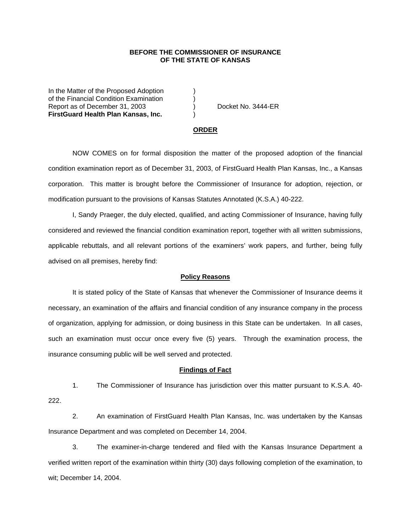## **BEFORE THE COMMISSIONER OF INSURANCE OF THE STATE OF KANSAS**

In the Matter of the Proposed Adoption of the Financial Condition Examination ) Report as of December 31, 2003 (a) Docket No. 3444-ER **FirstGuard Health Plan Kansas, Inc.** )

#### **ORDER**

 NOW COMES on for formal disposition the matter of the proposed adoption of the financial condition examination report as of December 31, 2003, of FirstGuard Health Plan Kansas, Inc., a Kansas corporation. This matter is brought before the Commissioner of Insurance for adoption, rejection, or modification pursuant to the provisions of Kansas Statutes Annotated (K.S.A.) 40-222.

 I, Sandy Praeger, the duly elected, qualified, and acting Commissioner of Insurance, having fully considered and reviewed the financial condition examination report, together with all written submissions, applicable rebuttals, and all relevant portions of the examiners' work papers, and further, being fully advised on all premises, hereby find:

### **Policy Reasons**

 It is stated policy of the State of Kansas that whenever the Commissioner of Insurance deems it necessary, an examination of the affairs and financial condition of any insurance company in the process of organization, applying for admission, or doing business in this State can be undertaken. In all cases, such an examination must occur once every five (5) years. Through the examination process, the insurance consuming public will be well served and protected.

#### **Findings of Fact**

 1. The Commissioner of Insurance has jurisdiction over this matter pursuant to K.S.A. 40- 222.

 2. An examination of FirstGuard Health Plan Kansas, Inc. was undertaken by the Kansas Insurance Department and was completed on December 14, 2004.

 3. The examiner-in-charge tendered and filed with the Kansas Insurance Department a verified written report of the examination within thirty (30) days following completion of the examination, to wit; December 14, 2004.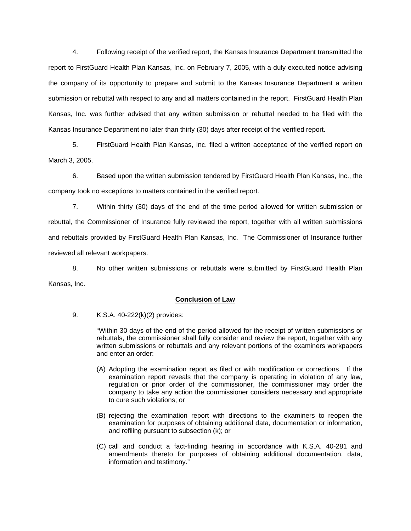4. Following receipt of the verified report, the Kansas Insurance Department transmitted the report to FirstGuard Health Plan Kansas, Inc. on February 7, 2005, with a duly executed notice advising the company of its opportunity to prepare and submit to the Kansas Insurance Department a written submission or rebuttal with respect to any and all matters contained in the report. FirstGuard Health Plan Kansas, Inc. was further advised that any written submission or rebuttal needed to be filed with the Kansas Insurance Department no later than thirty (30) days after receipt of the verified report.

 5. FirstGuard Health Plan Kansas, Inc. filed a written acceptance of the verified report on March 3, 2005.

 6. Based upon the written submission tendered by FirstGuard Health Plan Kansas, Inc., the company took no exceptions to matters contained in the verified report.

 7. Within thirty (30) days of the end of the time period allowed for written submission or rebuttal, the Commissioner of Insurance fully reviewed the report, together with all written submissions and rebuttals provided by FirstGuard Health Plan Kansas, Inc. The Commissioner of Insurance further reviewed all relevant workpapers.

 8. No other written submissions or rebuttals were submitted by FirstGuard Health Plan Kansas, Inc.

## **Conclusion of Law**

9. K.S.A. 40-222(k)(2) provides:

"Within 30 days of the end of the period allowed for the receipt of written submissions or rebuttals, the commissioner shall fully consider and review the report, together with any written submissions or rebuttals and any relevant portions of the examiners workpapers and enter an order:

- (A) Adopting the examination report as filed or with modification or corrections. If the examination report reveals that the company is operating in violation of any law, regulation or prior order of the commissioner, the commissioner may order the company to take any action the commissioner considers necessary and appropriate to cure such violations; or
- (B) rejecting the examination report with directions to the examiners to reopen the examination for purposes of obtaining additional data, documentation or information, and refiling pursuant to subsection (k); or
- (C) call and conduct a fact-finding hearing in accordance with K.S.A. 40-281 and amendments thereto for purposes of obtaining additional documentation, data, information and testimony."